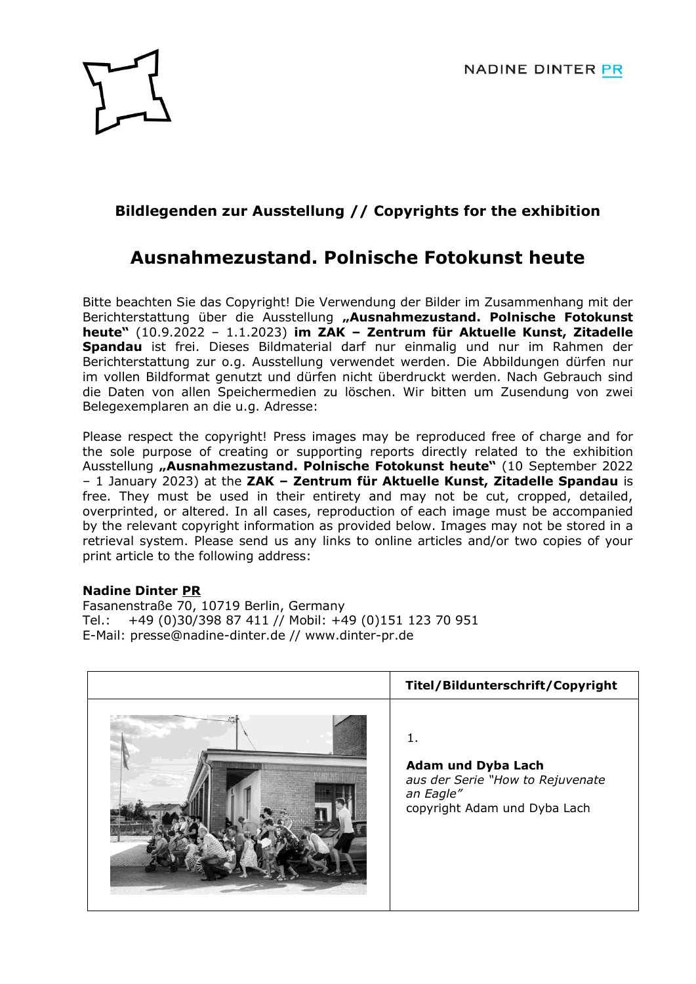

## **Bildlegenden zur Ausstellung // Copyrights for the exhibition**

## **Ausnahmezustand. Polnische Fotokunst heute**

Bitte beachten Sie das Copyright! Die Verwendung der Bilder im Zusammenhang mit der Berichterstattung über die Ausstellung **"Ausnahmezustand. Polnische Fotokunst heute"** (10.9.2022 – 1.1.2023) **im ZAK – Zentrum für Aktuelle Kunst, Zitadelle Spandau** ist frei. Dieses Bildmaterial darf nur einmalig und nur im Rahmen der Berichterstattung zur o.g. Ausstellung verwendet werden. Die Abbildungen dürfen nur im vollen Bildformat genutzt und dürfen nicht überdruckt werden. Nach Gebrauch sind die Daten von allen Speichermedien zu löschen. Wir bitten um Zusendung von zwei Belegexemplaren an die u.g. Adresse:

Please respect the copyright! Press images may be reproduced free of charge and for the sole purpose of creating or supporting reports directly related to the exhibition Ausstellung **"Ausnahmezustand. Polnische Fotokunst heute"** (10 September 2022 – 1 January 2023) at the **ZAK – Zentrum für Aktuelle Kunst, Zitadelle Spandau** is free. They must be used in their entirety and may not be cut, cropped, detailed, overprinted, or altered. In all cases, reproduction of each image must be accompanied by the relevant copyright information as provided below. Images may not be stored in a retrieval system. Please send us any links to online articles and/or two copies of your print article to the following address:

## **Nadine Dinter PR**

Fasanenstraße 70, 10719 Berlin, Germany Tel.: +49 (0)30/398 87 411 // Mobil: +49 (0)151 123 70 951 E-Mail: [presse@nadine-dinter.de](mailto:presse@nadine-dinter.de) // [www.dinter-pr.de](http://www.dinter-pr.de/)

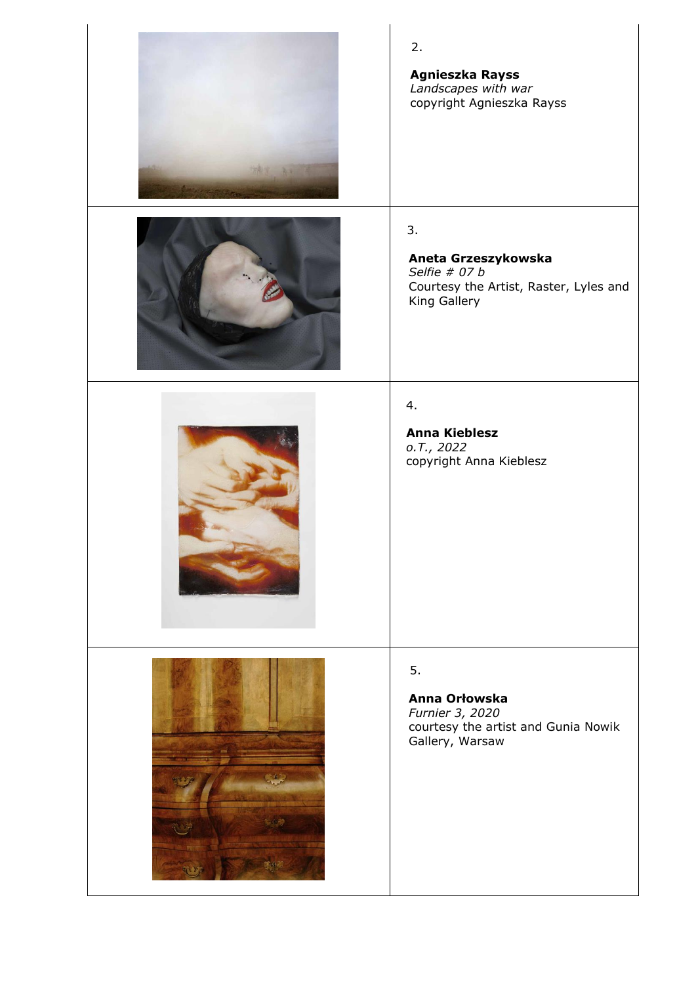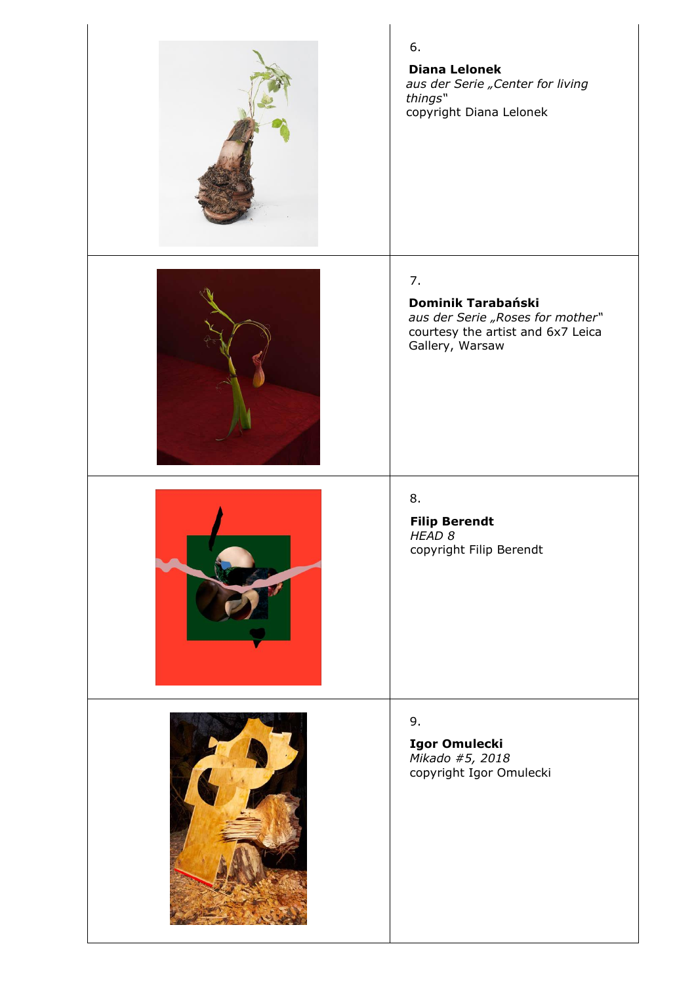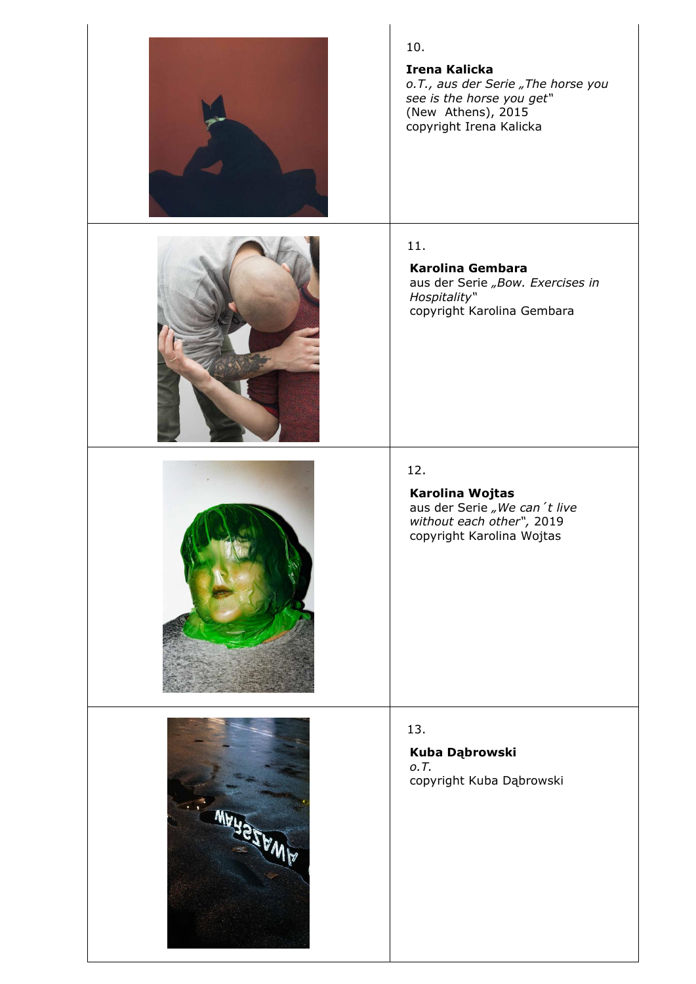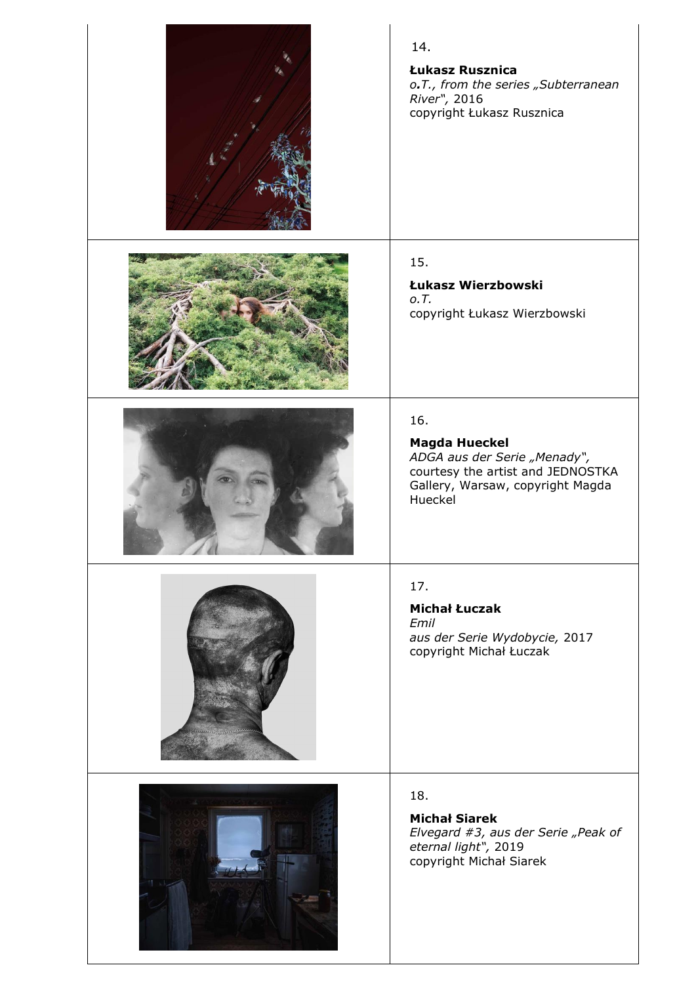| 14.<br>Łukasz Rusznica<br>o.T., from the series "Subterranean<br>River", 2016<br>copyright Łukasz Rusznica                                      |
|-------------------------------------------------------------------------------------------------------------------------------------------------|
| 15.<br>Łukasz Wierzbowski<br>0.7.<br>copyright Łukasz Wierzbowski                                                                               |
| 16.<br><b>Magda Hueckel</b><br>ADGA aus der Serie "Menady",<br>courtesy the artist and JEDNOSTKA<br>Gallery, Warsaw, copyright Magda<br>Hueckel |
| 17.<br><b>Michał Łuczak</b><br>Emil<br>aus der Serie Wydobycie, 2017<br>copyright Michał Łuczak                                                 |
| 18.<br><b>Michał Siarek</b><br>Elvegard #3, aus der Serie "Peak of<br>eternal light", 2019<br>copyright Michał Siarek                           |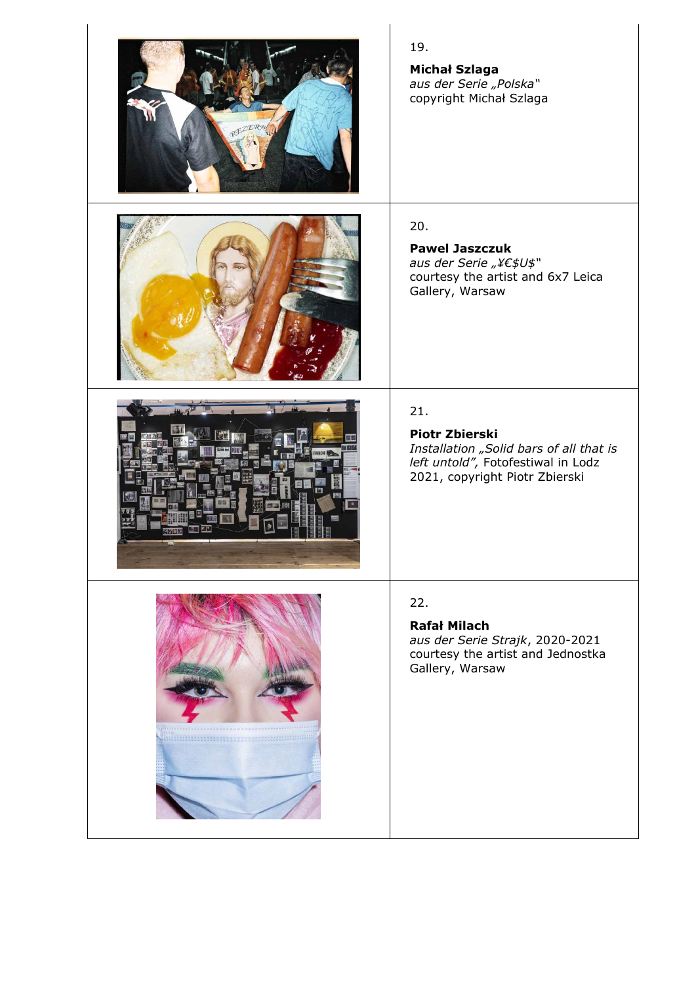|                                                       | 19.<br><b>Michał Szlaga</b><br>aus der Serie "Polska"<br>copyright Michał Szlaga                                                                |
|-------------------------------------------------------|-------------------------------------------------------------------------------------------------------------------------------------------------|
|                                                       | 20.<br><b>Pawel Jaszczuk</b><br>aus der Serie "¥€\$U\$"<br>courtesy the artist and 6x7 Leica<br>Gallery, Warsaw                                 |
|                                                       | 21.<br><b>Piotr Zbierski</b><br>Installation "Solid bars of all that is<br>left untold", Fotofestiwal in Lodz<br>2021, copyright Piotr Zbierski |
| <b>********************</b> *<br>-------------------- | 22.<br><b>Rafał Milach</b><br>aus der Serie Strajk, 2020-2021<br>courtesy the artist and Jednostka<br>Gallery, Warsaw                           |